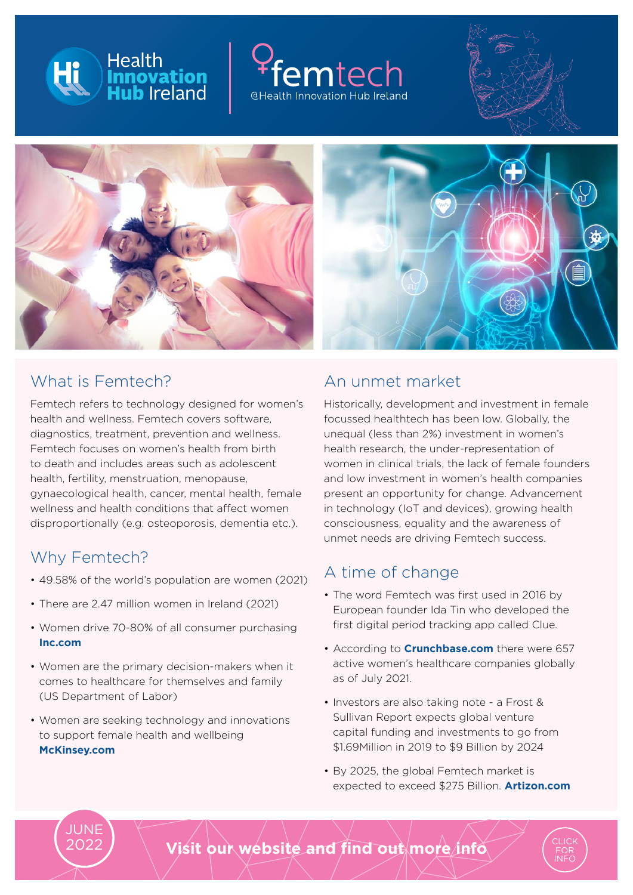







### What is Femtech?

Femtech refers to technology designed for women's health and wellness. Femtech covers software, diagnostics, treatment, prevention and wellness. Femtech focuses on women's health from birth to death and includes areas such as adolescent health, fertility, menstruation, menopause, gynaecological health, cancer, mental health, female wellness and health conditions that affect women disproportionally (e.g. osteoporosis, dementia etc.).

### Why Femtech?

JUNE 2022

- 49.58% of the world's population are women (2021)
- There are 2.47 million women in Ireland (2021)
- Women drive 70-80% of all consumer purchasing  **[Inc.com](https://www.inc.com/amy-nelson/women-drive-majority-of-consumer-purchasing-its-time-to-meet-their-needs.html)**
- Women are the primary decision-makers when it comes to healthcare for themselves and family (US Department of Labor)
- Women are seeking technology and innovations to support female health and wellbeing **[McKinsey.com](https://www.mckinsey.com/industries/healthcare-systems-and-services/our-insights/unlocking-opportunities-in-womens-healthcare)**

### An unmet market

Historically, development and investment in female focussed healthtech has been low. Globally, the unequal (less than 2%) investment in women's health research, the under-representation of women in clinical trials, the lack of female founders and low investment in women's health companies present an opportunity for change. Advancement in technology (IoT and devices), growing health consciousness, equality and the awareness of unmet needs are driving Femtech success.

## A time of change

- The word Femtech was first used in 2016 by European founder Ida Tin who developed the first digital period tracking app called Clue.
- According to **[Crunchbase.com](https://about.crunchbase.com/blog/femtech-officially-not-niche-by-1t/)** there were 657 active women's healthcare companies globally as of July 2021.
- Investors are also taking note a Frost & Sullivan Report expects global venture capital funding and investments to go from \$1.69Million in 2019 to \$9 Billion by 2024
- By 2025, the global Femtech market is expected to exceed \$275 Billion. **[Artizon.com](https://www.arizton.com/market-reports/femtech-market-size)**

[FOR](https://hih.ie/engage/femtech/) [INFO](https://hih.ie/engage/femtech/)